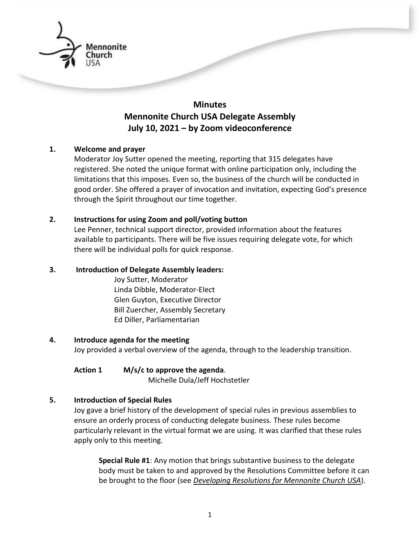

# **Minutes Mennonite Church USA Delegate Assembly July 10, 2021 – by Zoom videoconference**

## **1. Welcome and prayer**

Moderator Joy Sutter opened the meeting, reporting that 315 delegates have registered. She noted the unique format with online participation only, including the limitations that this imposes. Even so, the business of the church will be conducted in good order. She offered a prayer of invocation and invitation, expecting God's presence through the Spirit throughout our time together.

## **2. Instructions for using Zoom and poll/voting button**

Lee Penner, technical support director, provided information about the features available to participants. There will be five issues requiring delegate vote, for which there will be individual polls for quick response.

# **3. Introduction of Delegate Assembly leaders:**

Joy Sutter, Moderator Linda Dibble, Moderator-Elect Glen Guyton, Executive Director Bill Zuercher, Assembly Secretary Ed Diller, Parliamentarian

#### **4. Introduce agenda for the meeting**

Joy provided a verbal overview of the agenda, through to the leadership transition.

#### **Action 1 M/s/c to approve the agenda**.

Michelle Dula/Jeff Hochstetler

# **5. Introduction of Special Rules**

Joy gave a brief history of the development of special rules in previous assemblies to ensure an orderly process of conducting delegate business. These rules become particularly relevant in the virtual format we are using. It was clarified that these rules apply only to this meeting.

**Special Rule #1**: Any motion that brings substantive business to the delegate body must be taken to and approved by the Resolutions Committee before it can be brought to the floor (see *[Developing Resolutions for Mennonite Church USA](https://www.mennoniteusa.org/resource-portal/resource/guidelines-developing-resolutions/)*).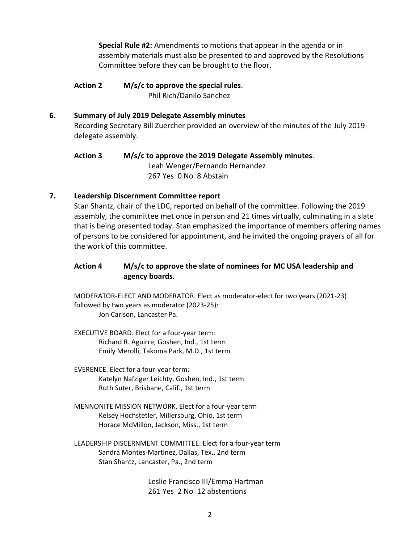**Special Rule #2:** Amendments to motions that appear in the agenda or in assembly materials must also be presented to and approved by the Resolutions Committee before they can be brought to the floor.

**Action 2 M/s/c to approve the special rules**. Phil Rich/Danilo Sanchez

## **6. Summary of July 2019 Delegate Assembly minutes**

Recording Secretary Bill Zuercher provided an overview of the minutes of the July 2019 delegate assembly.

# **Action 3 M/s/c to approve the 2019 Delegate Assembly minutes**. Leah Wenger/Fernando Hernandez 267 Yes 0 No 8 Abstain

# **7. Leadership Discernment Committee report**

Stan Shantz, chair of the LDC, reported on behalf of the committee. Following the 2019 assembly, the committee met once in person and 21 times virtually, culminating in a slate that is being presented today. Stan emphasized the importance of members offering names of persons to be considered for appointment, and he invited the ongoing prayers of all for the work of this committee.

# **Action 4 M/s/c to approve the slate of nominees for MC USA leadership and agency boards**.

MODERATOR-ELECT AND MODERATOR. Elect as moderator-elect for two years (2021-23) followed by two years as moderator (2023-25): Jon Carlson, Lancaster Pa.

- EXECUTIVE BOARD. Elect for a four-year term: Richard R. Aguirre, Goshen, Ind., 1st term Emily Merolli, Takoma Park, M.D., 1st term
- EVERENCE. Elect for a four-year term: Katelyn Nafziger Leichty, Goshen, Ind., 1st term Ruth Suter, Brisbane, Calif., 1st term
- MENNONITE MISSION NETWORK. Elect for a four-year term Kelsey Hochstetler, Millersburg, Ohio, 1st term Horace McMillon, Jackson, Miss., 1st term
- LEADERSHIP DISCERNMENT COMMITTEE. Elect for a four-year term Sandra Montes-Martinez, Dallas, Tex., 2nd term Stan Shantz, Lancaster, Pa., 2nd term

Leslie Francisco III/Emma Hartman 261 Yes 2 No 12 abstentions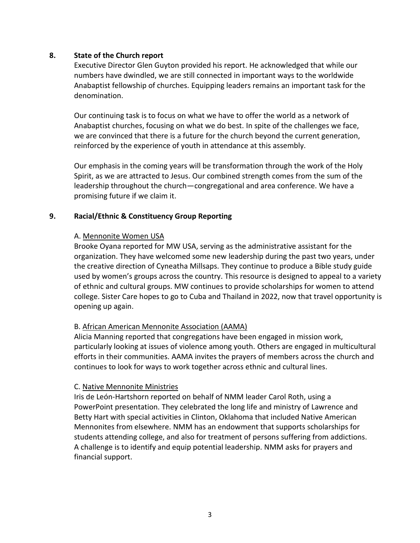## **8. State of the Church report**

Executive Director Glen Guyton provided his report. He acknowledged that while our numbers have dwindled, we are still connected in important ways to the worldwide Anabaptist fellowship of churches. Equipping leaders remains an important task for the denomination.

Our continuing task is to focus on what we have to offer the world as a network of Anabaptist churches, focusing on what we do best. In spite of the challenges we face, we are convinced that there is a future for the church beyond the current generation, reinforced by the experience of youth in attendance at this assembly.

Our emphasis in the coming years will be transformation through the work of the Holy Spirit, as we are attracted to Jesus. Our combined strength comes from the sum of the leadership throughout the church—congregational and area conference. We have a promising future if we claim it.

#### **9. Racial/Ethnic & Constituency Group Reporting**

## A. Mennonite Women USA

 Brooke Oyana reported for MW USA, serving as the administrative assistant for the organization. They have welcomed some new leadership during the past two years, under the creative direction of Cyneatha Millsaps. They continue to produce a Bible study guide used by women's groups across the country. This resource is designed to appeal to a variety of ethnic and cultural groups. MW continues to provide scholarships for women to attend college. Sister Care hopes to go to Cuba and Thailand in 2022, now that travel opportunity is opening up again.

#### B. African American Mennonite Association (AAMA)

 Alicia Manning reported that congregations have been engaged in mission work, particularly looking at issues of violence among youth. Others are engaged in multicultural efforts in their communities. AAMA invites the prayers of members across the church and continues to look for ways to work together across ethnic and cultural lines.

#### C. Native Mennonite Ministries

 Iris de León-Hartshorn reported on behalf of NMM leader Carol Roth, using a PowerPoint presentation. They celebrated the long life and ministry of Lawrence and Betty Hart with special activities in Clinton, Oklahoma that included Native American Mennonites from elsewhere. NMM has an endowment that supports scholarships for students attending college, and also for treatment of persons suffering from addictions. A challenge is to identify and equip potential leadership. NMM asks for prayers and financial support.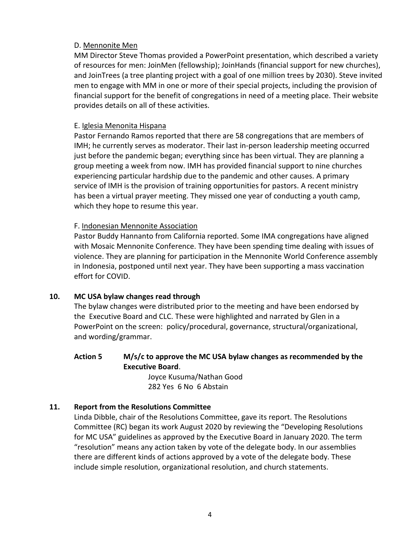# D. Mennonite Men

 MM Director Steve Thomas provided a PowerPoint presentation, which described a variety of resources for men: JoinMen (fellowship); JoinHands (financial support for new churches), and JoinTrees (a tree planting project with a goal of one million trees by 2030). Steve invited men to engage with MM in one or more of their special projects, including the provision of financial support for the benefit of congregations in need of a meeting place. Their website provides details on all of these activities.

#### E. Iglesia Menonita Hispana

 Pastor Fernando Ramos reported that there are 58 congregations that are members of IMH; he currently serves as moderator. Their last in-person leadership meeting occurred just before the pandemic began; everything since has been virtual. They are planning a group meeting a week from now. IMH has provided financial support to nine churches experiencing particular hardship due to the pandemic and other causes. A primary service of IMH is the provision of training opportunities for pastors. A recent ministry has been a virtual prayer meeting. They missed one year of conducting a youth camp, which they hope to resume this year.

## F. Indonesian Mennonite Association

 Pastor Buddy Hannanto from California reported. Some IMA congregations have aligned with Mosaic Mennonite Conference. They have been spending time dealing with issues of violence. They are planning for participation in the Mennonite World Conference assembly in Indonesia, postponed until next year. They have been supporting a mass vaccination effort for COVID.

#### **10. MC USA bylaw changes read through**

The bylaw changes were distributed prior to the meeting and have been endorsed by the Executive Board and CLC. These were highlighted and narrated by Glen in a PowerPoint on the screen: policy/procedural, governance, structural/organizational, and wording/grammar.

## **Action 5 M/s/c to approve the MC USA bylaw changes as recommended by the Executive Board**.

Joyce Kusuma/Nathan Good 282 Yes 6 No 6 Abstain

# **11. Report from the Resolutions Committee**

Linda Dibble, chair of the Resolutions Committee, gave its report. The Resolutions Committee (RC) began its work August 2020 by reviewing the "Developing Resolutions for MC USA" guidelines as approved by the Executive Board in January 2020. The term "resolution" means any action taken by vote of the delegate body. In our assemblies there are different kinds of actions approved by a vote of the delegate body. These include simple resolution, organizational resolution, and church statements.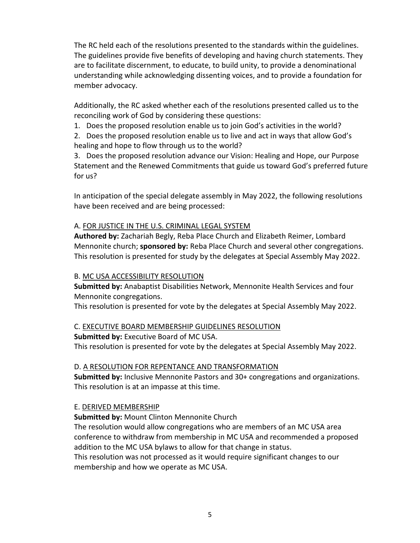The RC held each of the resolutions presented to the standards within the guidelines. The guidelines provide five benefits of developing and having church statements. They are to facilitate discernment, to educate, to build unity, to provide a denominational understanding while acknowledging dissenting voices, and to provide a foundation for member advocacy.

Additionally, the RC asked whether each of the resolutions presented called us to the reconciling work of God by considering these questions:

1. Does the proposed resolution enable us to join God's activities in the world?

2. Does the proposed resolution enable us to live and act in ways that allow God's healing and hope to flow through us to the world?

3. Does the proposed resolution advance our Vision: Healing and Hope, our Purpose Statement and the Renewed Commitments that guide us toward God's preferred future for us?

In anticipation of the special delegate assembly in May 2022, the following resolutions have been received and are being processed:

# A. FOR JUSTICE IN THE U.S. CRIMINAL LEGAL SYSTEM

**Authored by:** Zachariah Begly, Reba Place Church and Elizabeth Reimer, Lombard Mennonite church; **sponsored by:** Reba Place Church and several other congregations. This resolution is presented for study by the delegates at Special Assembly May 2022.

# B. MC USA ACCESSIBILITY RESOLUTION

**Submitted by:** Anabaptist Disabilities Network, Mennonite Health Services and four Mennonite congregations.

This resolution is presented for vote by the delegates at Special Assembly May 2022.

# C. EXECUTIVE BOARD MEMBERSHIP GUIDELINES RESOLUTION

**Submitted by:** Executive Board of MC USA. This resolution is presented for vote by the delegates at Special Assembly May 2022.

# D. A RESOLUTION FOR REPENTANCE AND TRANSFORMATION

**Submitted by:** Inclusive Mennonite Pastors and 30+ congregations and organizations. This resolution is at an impasse at this time.

# E. DERIVED MEMBERSHIP

**Submitted by:** Mount Clinton Mennonite Church

The resolution would allow congregations who are members of an MC USA area conference to withdraw from membership in MC USA and recommended a proposed addition to the MC USA bylaws to allow for that change in status.

This resolution was not processed as it would require significant changes to our membership and how we operate as MC USA.